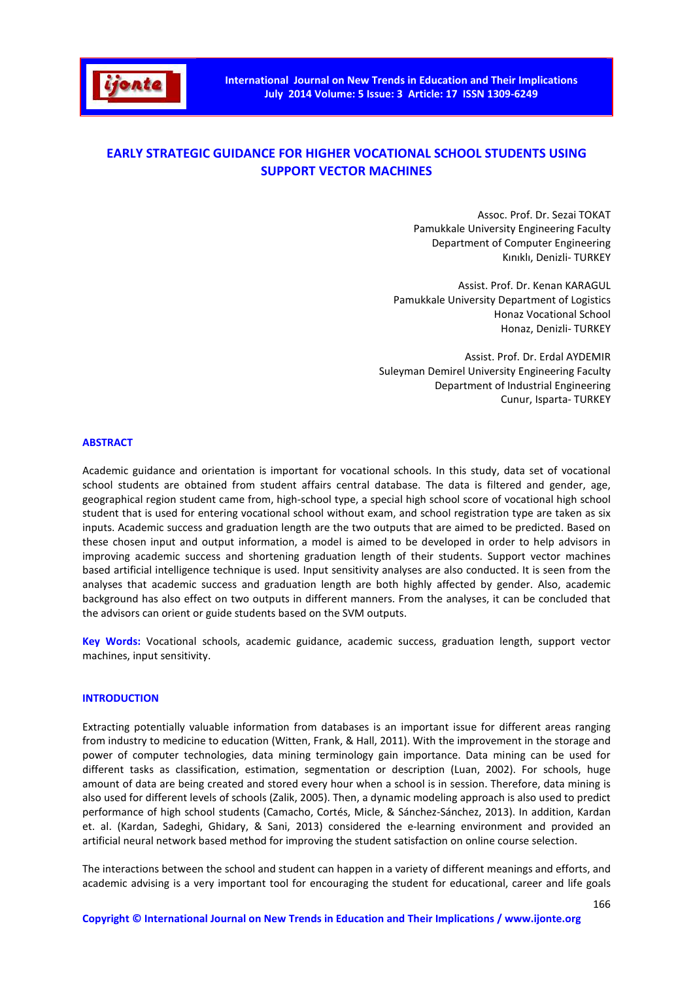

# **EARLY STRATEGIC GUIDANCE FOR HIGHER VOCATIONAL SCHOOL STUDENTS USING SUPPORT VECTOR MACHINES**

Assoc. Prof. Dr. Sezai TOKAT Pamukkale University Engineering Faculty Department of Computer Engineering Kınıklı, Denizli- TURKEY

Assist. Prof. Dr. Kenan KARAGUL Pamukkale University Department of Logistics Honaz Vocational School Honaz, Denizli- TURKEY

Assist. Prof. Dr. Erdal AYDEMIR Suleyman Demirel University Engineering Faculty Department of Industrial Engineering Cunur, Isparta- TURKEY

#### **ABSTRACT**

Academic guidance and orientation is important for vocational schools. In this study, data set of vocational school students are obtained from student affairs central database. The data is filtered and gender, age, geographical region student came from, high-school type, a special high school score of vocational high school student that is used for entering vocational school without exam, and school registration type are taken as six inputs. Academic success and graduation length are the two outputs that are aimed to be predicted. Based on these chosen input and output information, a model is aimed to be developed in order to help advisors in improving academic success and shortening graduation length of their students. Support vector machines based artificial intelligence technique is used. Input sensitivity analyses are also conducted. It is seen from the analyses that academic success and graduation length are both highly affected by gender. Also, academic background has also effect on two outputs in different manners. From the analyses, it can be concluded that the advisors can orient or guide students based on the SVM outputs.

**Key Words:** Vocational schools, academic guidance, academic success, graduation length, support vector machines, input sensitivity.

#### **INTRODUCTION**

Extracting potentially valuable information from databases is an important issue for different areas ranging from industry to medicine to education (Witten, Frank, & Hall, 2011). With the improvement in the storage and power of computer technologies, data mining terminology gain importance. Data mining can be used for different tasks as classification, estimation, segmentation or description (Luan, 2002). For schools, huge amount of data are being created and stored every hour when a school is in session. Therefore, data mining is also used for different levels of schools (Zalik, 2005). Then, a dynamic modeling approach is also used to predict performance of high school students (Camacho, Cortés, Micle, & Sánchez-Sánchez, 2013). In addition, Kardan et. al. (Kardan, Sadeghi, Ghidary, & Sani, 2013) considered the e-learning environment and provided an artificial neural network based method for improving the student satisfaction on online course selection.

The interactions between the school and student can happen in a variety of different meanings and efforts, and academic advising is a very important tool for encouraging the student for educational, career and life goals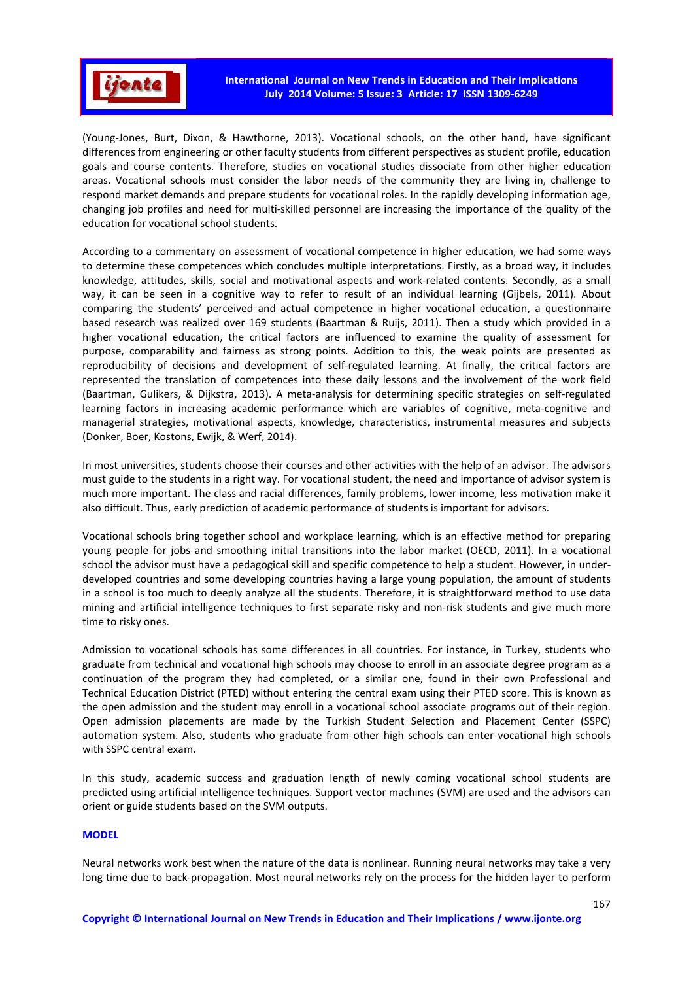

(Young-Jones, Burt, Dixon, & Hawthorne, 2013). Vocational schools, on the other hand, have significant differences from engineering or other faculty students from different perspectives as student profile, education goals and course contents. Therefore, studies on vocational studies dissociate from other higher education areas. Vocational schools must consider the labor needs of the community they are living in, challenge to respond market demands and prepare students for vocational roles. In the rapidly developing information age, changing job profiles and need for multi-skilled personnel are increasing the importance of the quality of the education for vocational school students.

According to a commentary on assessment of vocational competence in higher education, we had some ways to determine these competences which concludes multiple interpretations. Firstly, as a broad way, it includes knowledge, attitudes, skills, social and motivational aspects and work-related contents. Secondly, as a small way, it can be seen in a cognitive way to refer to result of an individual learning (Gijbels, 2011). About comparing the students' perceived and actual competence in higher vocational education, a questionnaire based research was realized over 169 students (Baartman & Ruijs, 2011). Then a study which provided in a higher vocational education, the critical factors are influenced to examine the quality of assessment for purpose, comparability and fairness as strong points. Addition to this, the weak points are presented as reproducibility of decisions and development of self-regulated learning. At finally, the critical factors are represented the translation of competences into these daily lessons and the involvement of the work field (Baartman, Gulikers, & Dijkstra, 2013). A meta-analysis for determining specific strategies on self-regulated learning factors in increasing academic performance which are variables of cognitive, meta-cognitive and managerial strategies, motivational aspects, knowledge, characteristics, instrumental measures and subjects (Donker, Boer, Kostons, Ewijk, & Werf, 2014).

In most universities, students choose their courses and other activities with the help of an advisor. The advisors must guide to the students in a right way. For vocational student, the need and importance of advisor system is much more important. The class and racial differences, family problems, lower income, less motivation make it also difficult. Thus, early prediction of academic performance of students is important for advisors.

Vocational schools bring together school and workplace learning, which is an effective method for preparing young people for jobs and smoothing initial transitions into the labor market (OECD, 2011). In a vocational school the advisor must have a pedagogical skill and specific competence to help a student. However, in underdeveloped countries and some developing countries having a large young population, the amount of students in a school is too much to deeply analyze all the students. Therefore, it is straightforward method to use data mining and artificial intelligence techniques to first separate risky and non-risk students and give much more time to risky ones.

Admission to vocational schools has some differences in all countries. For instance, in Turkey, students who graduate from technical and vocational high schools may choose to enroll in an associate degree program as a continuation of the program they had completed, or a similar one, found in their own Professional and Technical Education District (PTED) without entering the central exam using their PTED score. This is known as the open admission and the student may enroll in a vocational school associate programs out of their region. Open admission placements are made by the Turkish Student Selection and Placement Center (SSPC) automation system. Also, students who graduate from other high schools can enter vocational high schools with SSPC central exam.

In this study, academic success and graduation length of newly coming vocational school students are predicted using artificial intelligence techniques. Support vector machines (SVM) are used and the advisors can orient or guide students based on the SVM outputs.

# **MODEL**

Neural networks work best when the nature of the data is nonlinear. Running neural networks may take a very long time due to back-propagation. Most neural networks rely on the process for the hidden layer to perform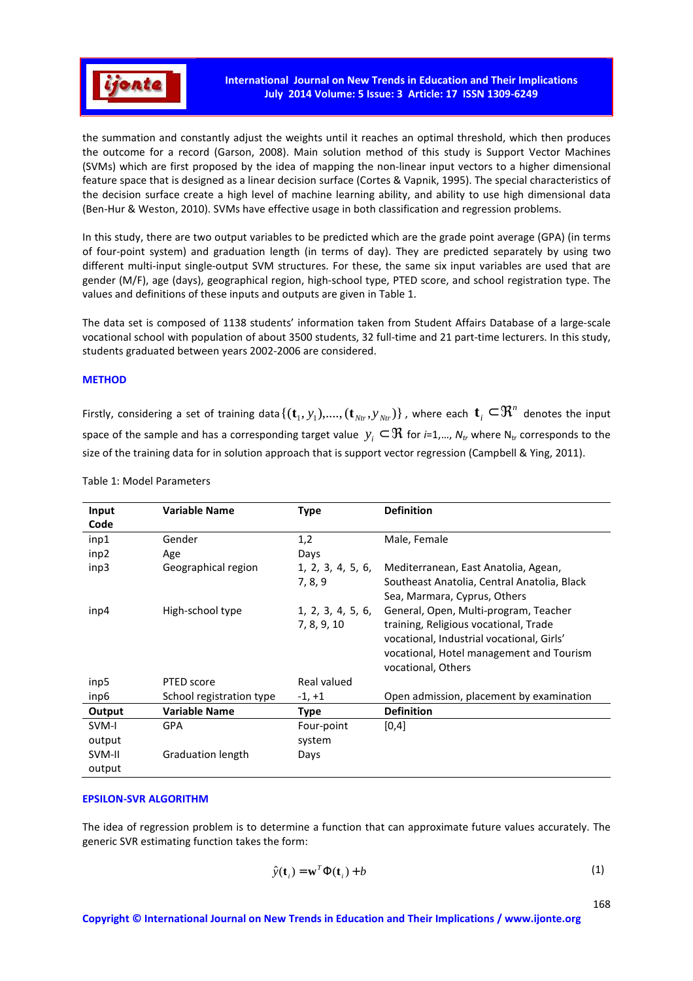

the summation and constantly adjust the weights until it reaches an optimal threshold, which then produces the outcome for a record (Garson, 2008). Main solution method of this study is Support Vector Machines (SVMs) which are first proposed by the idea of mapping the non-linear input vectors to a higher dimensional feature space that is designed as a linear decision surface (Cortes & Vapnik, 1995). The special characteristics of the decision surface create a high level of machine learning ability, and ability to use high dimensional data (Ben-Hur & Weston, 2010). SVMs have effective usage in both classification and regression problems.

In this study, there are two output variables to be predicted which are the grade point average (GPA) (in terms of four-point system) and graduation length (in terms of day). They are predicted separately by using two different multi-input single-output SVM structures. For these, the same six input variables are used that are gender (M/F), age (days), geographical region, high-school type, PTED score, and school registration type. The values and definitions of these inputs and outputs are given in Table 1.

The data set is composed of 1138 students' information taken from Student Affairs Database of a large-scale vocational school with population of about 3500 students, 32 full-time and 21 part-time lecturers. In this study, students graduated between years 2002-2006 are considered.

# **METHOD**

Firstly, considering a set of training data  $\{({\bf t}_1,y_1),....,({\bf t}_{Nr},y_{Nr})\}$  , where each  ${\bf t}_i\subset\Re^n$  denotes the input space of the sample and has a corresponding target value  $y_i \subset \Re$  for *i*=1,...,  $N_t$  where  $N_t$  corresponds to the size of the training data for in solution approach that is support vector regression (Campbell & Ying, 2011).

| Input            | <b>Variable Name</b>     | <b>Type</b>                      | <b>Definition</b>                                                                                                                                                                             |
|------------------|--------------------------|----------------------------------|-----------------------------------------------------------------------------------------------------------------------------------------------------------------------------------------------|
| Code             |                          |                                  |                                                                                                                                                                                               |
| inp1             | Gender                   | 1,2                              | Male, Female                                                                                                                                                                                  |
| inp <sub>2</sub> | Age                      | Days                             |                                                                                                                                                                                               |
| inp3             | Geographical region      | 1, 2, 3, 4, 5, 6,<br>7, 8, 9     | Mediterranean, East Anatolia, Agean,<br>Southeast Anatolia, Central Anatolia, Black<br>Sea, Marmara, Cyprus, Others                                                                           |
| inp4             | High-school type         | 1, 2, 3, 4, 5, 6,<br>7, 8, 9, 10 | General, Open, Multi-program, Teacher<br>training, Religious vocational, Trade<br>vocational, Industrial vocational, Girls'<br>vocational, Hotel management and Tourism<br>vocational, Others |
| inp <sub>5</sub> | PTED score               | Real valued                      |                                                                                                                                                                                               |
| inp6             | School registration type | $-1, +1$                         | Open admission, placement by examination                                                                                                                                                      |
| Output           | <b>Variable Name</b>     | Type                             | <b>Definition</b>                                                                                                                                                                             |
| SVM-I            | <b>GPA</b>               | Four-point                       | [0,4]                                                                                                                                                                                         |
| output           |                          | system                           |                                                                                                                                                                                               |
| SVM-II           | Graduation length        | Days                             |                                                                                                                                                                                               |
| output           |                          |                                  |                                                                                                                                                                                               |

Table 1: Model Parameters

# **EPSILON-SVR ALGORITHM**

The idea of regression problem is to determine a function that can approximate future values accurately. The generic SVR estimating function takes the form:

$$
\hat{y}(\mathbf{t}_i) = \mathbf{w}^T \Phi(\mathbf{t}_i) + b \tag{1}
$$

**Copyright © International Journal on New Trends in Education and Their Implications / www.ijonte.org**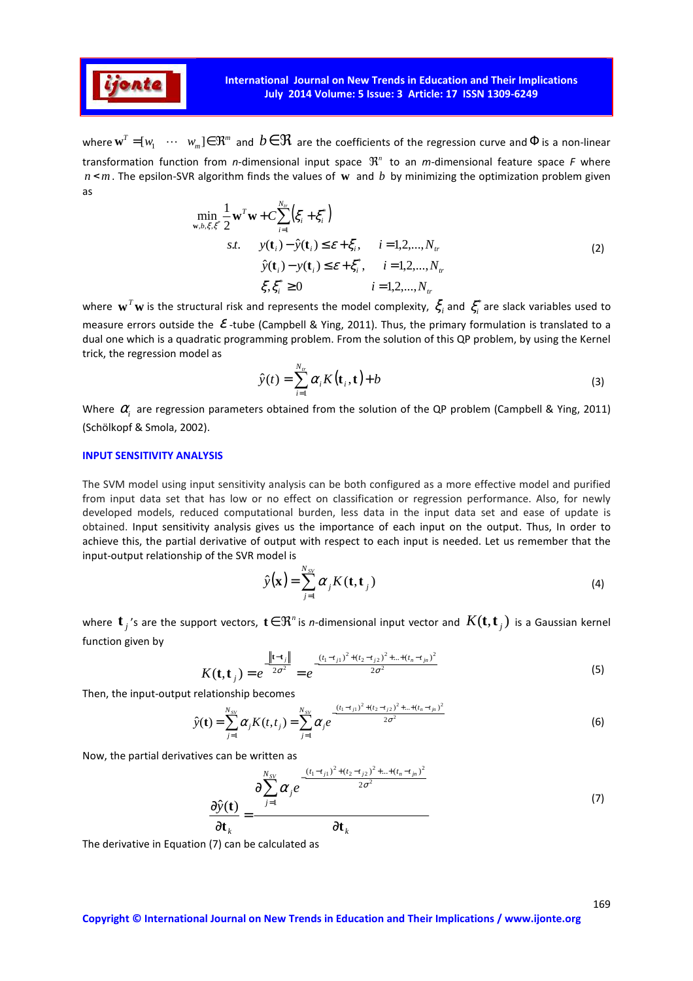

where  $\mathbf{w}^T=[w_1\;\;\cdots\;\;w_m]\in\mathfrak{R}^m$  and  $b\in\mathfrak{R}$  are the coefficients of the regression curve and  $\Phi$  is a non-linear transformation function from *n*-dimensional input space  $\mathfrak{R}^n$  to an *m*-dimensional feature space *F* where *n* < *m*. The epsilon-SVR algorithm finds the values of **w** and *b* by minimizing the optimization problem given as

$$
\min_{\mathbf{w}, b, \xi, \xi^*} \frac{1}{2} \mathbf{w}^T \mathbf{w} + C \sum_{i=1}^{N_{tr}} \left( \xi_i + \xi_i^* \right)
$$
\n
$$
s.t. \quad y(\mathbf{t}_i) - \hat{y}(\mathbf{t}_i) \le \varepsilon + \xi_i, \quad i = 1, 2, ..., N_{tr}
$$
\n
$$
\hat{y}(\mathbf{t}_i) - y(\mathbf{t}_i) \le \varepsilon + \xi_i^*, \quad i = 1, 2, ..., N_{tr}
$$
\n
$$
\xi, \xi_i^* \ge 0 \quad i = 1, 2, ..., N_{tr}
$$
\n(2)

where  $w^T w$  is the structural risk and represents the model complexity,  $\zeta_i$  and  $\zeta_i^*$  are slack variables used to measure errors outside the  $\mathcal E$ -tube (Campbell & Ying, 2011). Thus, the primary formulation is translated to a dual one which is a quadratic programming problem. From the solution of this QP problem, by using the Kernel trick, the regression model as

$$
\hat{y}(t) = \sum_{i=1}^{N_{tr}} \alpha_i K(\mathbf{t}_i, \mathbf{t}) + b \tag{3}
$$

Where  $\alpha$ <sub>i</sub> are regression parameters obtained from the solution of the QP problem (Campbell & Ying, 2011) (Schölkopf & Smola, 2002).

# **INPUT SENSITIVITY ANALYSIS**

The SVM model using input sensitivity analysis can be both configured as a more effective model and purified from input data set that has low or no effect on classification or regression performance. Also, for newly developed models, reduced computational burden, less data in the input data set and ease of update is obtained. Input sensitivity analysis gives us the importance of each input on the output. Thus, In order to achieve this, the partial derivative of output with respect to each input is needed. Let us remember that the input-output relationship of the SVR model is

$$
\hat{y}(\mathbf{x}) = \sum_{j=1}^{N_{SV}} \alpha_j K(\mathbf{t}, \mathbf{t}_j)
$$
\n(4)

where  $\mathbf{t}_j$ 's are the support vectors,  $\mathbf{t} \in \Re^n$  is *n*-dimensional input vector and  $K(\mathbf{t},\mathbf{t}_j)$  is a Gaussian kernel function given by

$$
K(\mathbf{t}, \mathbf{t}_{j}) = e^{-\frac{\left|\mathbf{t} - \mathbf{t}_{j}\right|}{2\sigma^{2}}} = e^{-\frac{(t_{1} - t_{j1})^{2} + (t_{2} - t_{j2})^{2} + \ldots + (t_{n} - t_{jn})^{2}}{2\sigma^{2}}}
$$
(5)

Then, the input-output relationship becomes

$$
\hat{y}(\mathbf{t}) = \sum_{j=1}^{N_{SV}} \alpha_j K(t, t_j) = \sum_{j=1}^{N_{SV}} \alpha_j e^{-\frac{(t_1 - t_{j1})^2 + (t_2 - t_{j2})^2 + \dots + (t_n - t_m)^2}{2\sigma^2}}
$$
(6)

Now, the partial derivatives can be written as

$$
\frac{\partial \hat{y}(\mathbf{t})}{\partial \mathbf{t}_{k}} = \frac{\frac{\partial \sum_{j=1}^{N_{SV}} \alpha_{j} e^{-\frac{(t_{1} - t_{j1})^{2} + (t_{2} - t_{j2})^{2} + \ldots + (t_{n} - t_{jn})^{2}}}{2\sigma^{2}}}{\partial \mathbf{t}_{k}}
$$
(7)

The derivative in Equation (7) can be calculated as

**Copyright © International Journal on New Trends in Education and Their Implications / www.ijonte.org**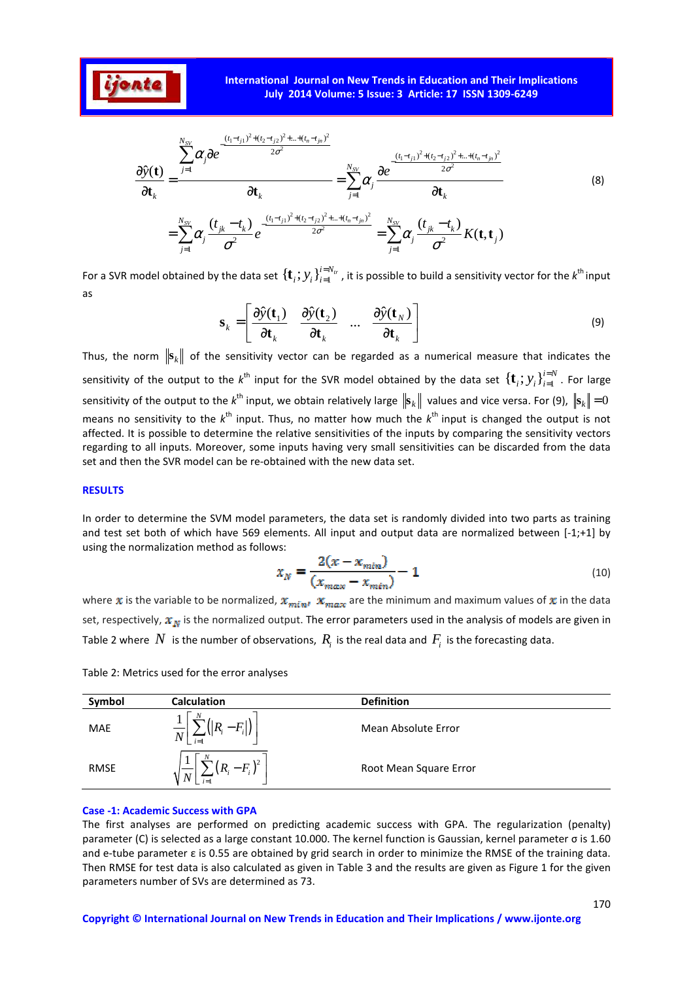



For a SVR model obtained by the data set  $\{\mathbf{t}_i; y_i\}_{i=1}^{i=N_{tr}}$  $\{\mathbf t_i; y_i\}_{i=1}^{i=N_{tr}}$  , it is possible to build a sensitivity vector for the  $k^{\text{th}}$  input as

$$
\mathbf{s}_{k} = \begin{bmatrix} \frac{\partial \hat{y}(\mathbf{t}_{1})}{\partial \mathbf{t}_{k}} & \frac{\partial \hat{y}(\mathbf{t}_{2})}{\partial \mathbf{t}_{k}} & \dots & \frac{\partial \hat{y}(\mathbf{t}_{N})}{\partial \mathbf{t}_{k}} \end{bmatrix}
$$
(9)

Thus, the norm  $\|\mathbf{s}_k\|$  of the sensitivity vector can be regarded as a numerical measure that indicates the sensitivity of the output to the  $k^{\text{th}}$  input for the SVR model obtained by the data set  $\{{\bf t}_i; y_i\}_{i=1}^{i=N}$  ${\{\mathbf t}_i; y_i\}_{i=1}^{i=N}$ . For large sensitivity of the output to the  $k^{\text{th}}$  input, we obtain relatively large  $\|\mathbf{s}_k\|$  values and vice versa. For (9),  $\|\mathbf{s}_k\|=0$ means no sensitivity to the k<sup>th</sup> input. Thus, no matter how much the k<sup>th</sup> input is changed the output is not affected. It is possible to determine the relative sensitivities of the inputs by comparing the sensitivity vectors regarding to all inputs. Moreover, some inputs having very small sensitivities can be discarded from the data set and then the SVR model can be re-obtained with the new data set.

#### **RESULTS**

In order to determine the SVM model parameters, the data set is randomly divided into two parts as training and test set both of which have 569 elements. All input and output data are normalized between [-1;+1] by using the normalization method as follows:

$$
x_N = \frac{2(x - x_{min})}{(x_{max} - x_{min})} - 1
$$
\n(10)

where x is the variable to be normalized,  $x_{min}$ ,  $x_{max}$  are the minimum and maximum values of x in the data set, respectively,  $x_N$  is the normalized output. The error parameters used in the analysis of models are given in Table 2 where  $N$  is the number of observations,  $R$ <sub>*i*</sub> is the real data and  $F$ <sub>*i*</sub> is the forecasting data.

| Symbol      | <b>Calculation</b>        | <b>Definition</b>      |
|-------------|---------------------------|------------------------|
| MAE         | $\mathbf{r}$<br>v<br>$i=$ | Mean Absolute Error    |
| <b>RMSE</b> | $\sqrt{N}$<br>$i=1$       | Root Mean Square Error |

Table 2: Metrics used for the error analyses

#### **Case -1: Academic Success with GPA**

The first analyses are performed on predicting academic success with GPA. The regularization (penalty) parameter (C) is selected as a large constant 10.000. The kernel function is Gaussian, kernel parameter σ is 1.60 and e-tube parameter ε is 0.55 are obtained by grid search in order to minimize the RMSE of the training data. Then RMSE for test data is also calculated as given in Table 3 and the results are given as Figure 1 for the given parameters number of SVs are determined as 73.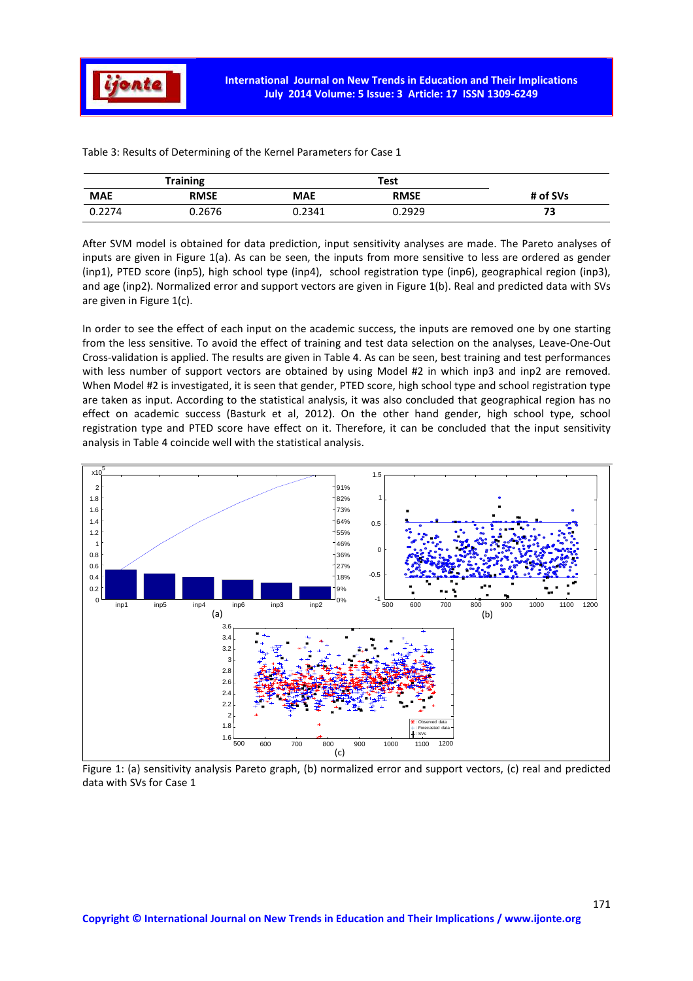

| <b>Training</b> |             |            | <b>Test</b> |          |
|-----------------|-------------|------------|-------------|----------|
| <b>MAE</b>      | <b>RMSE</b> | <b>MAE</b> | <b>RMSE</b> | # of SVs |
| 0.2274          | 0.2676      | 0.2341     | 0.2929      | 73       |

Table 3: Results of Determining of the Kernel Parameters for Case 1

After SVM model is obtained for data prediction, input sensitivity analyses are made. The Pareto analyses of inputs are given in Figure 1(a). As can be seen, the inputs from more sensitive to less are ordered as gender (inp1), PTED score (inp5), high school type (inp4), school registration type (inp6), geographical region (inp3), and age (inp2). Normalized error and support vectors are given in Figure 1(b). Real and predicted data with SVs are given in Figure 1(c).

In order to see the effect of each input on the academic success, the inputs are removed one by one starting from the less sensitive. To avoid the effect of training and test data selection on the analyses, Leave-One-Out Cross-validation is applied. The results are given in Table 4. As can be seen, best training and test performances with less number of support vectors are obtained by using Model #2 in which inp3 and inp2 are removed. When Model #2 is investigated, it is seen that gender, PTED score, high school type and school registration type are taken as input. According to the statistical analysis, it was also concluded that geographical region has no effect on academic success (Basturk et al, 2012). On the other hand gender, high school type, school registration type and PTED score have effect on it. Therefore, it can be concluded that the input sensitivity analysis in Table 4 coincide well with the statistical analysis.



Figure 1: (a) sensitivity analysis Pareto graph, (b) normalized error and support vectors, (c) real and predicted data with SVs for Case 1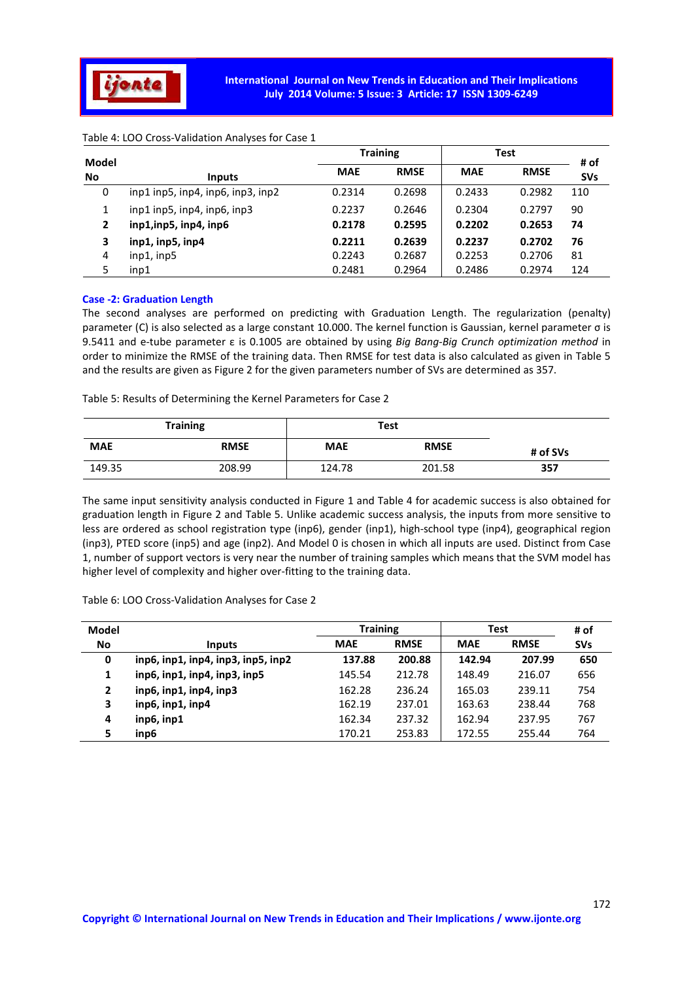

| <b>Model</b> |                                   | <b>Training</b> |             | Test       |             | # of       |
|--------------|-----------------------------------|-----------------|-------------|------------|-------------|------------|
| No           | <b>Inputs</b>                     | <b>MAE</b>      | <b>RMSE</b> | <b>MAE</b> | <b>RMSE</b> | <b>SVs</b> |
| 0            | inp1 inp5, inp4, inp6, inp3, inp2 | 0.2314          | 0.2698      | 0.2433     | 0.2982      | 110        |
| 1            | $inp1$ inp5, inp4, inp6, inp3     | 0.2237          | 0.2646      | 0.2304     | 0.2797      | 90         |
| 2            | inp1,inp5, inp4, inp6             | 0.2178          | 0.2595      | 0.2202     | 0.2653      | 74         |
| 3            | inp1, inp5, inp4                  | 0.2211          | 0.2639      | 0.2237     | 0.2702      | 76         |
| 4            | inp1, inp5                        | 0.2243          | 0.2687      | 0.2253     | 0.2706      | 81         |
| 5            | inp1                              | 0.2481          | 0.2964      | 0.2486     | 0.2974      | 124        |

# Table 4: LOO Cross-Validation Analyses for Case 1

# **Case -2: Graduation Length**

The second analyses are performed on predicting with Graduation Length. The regularization (penalty) parameter (C) is also selected as a large constant 10.000. The kernel function is Gaussian, kernel parameter σ is 9.5411 and e-tube parameter ε is 0.1005 are obtained by using *Big Bang-Big Crunch optimization method* in order to minimize the RMSE of the training data. Then RMSE for test data is also calculated as given in Table 5 and the results are given as Figure 2 for the given parameters number of SVs are determined as 357.

Table 5: Results of Determining the Kernel Parameters for Case 2

| <b>Training</b> |             | <b>Test</b> |             |          |
|-----------------|-------------|-------------|-------------|----------|
| <b>MAE</b>      | <b>RMSE</b> | <b>MAE</b>  | <b>RMSE</b> | # of SVs |
| 149.35          | 208.99      | 124.78      | 201.58      | 357      |

The same input sensitivity analysis conducted in Figure 1 and Table 4 for academic success is also obtained for graduation length in Figure 2 and Table 5. Unlike academic success analysis, the inputs from more sensitive to less are ordered as school registration type (inp6), gender (inp1), high-school type (inp4), geographical region (inp3), PTED score (inp5) and age (inp2). And Model 0 is chosen in which all inputs are used. Distinct from Case 1, number of support vectors is very near the number of training samples which means that the SVM model has higher level of complexity and higher over-fitting to the training data.

Table 6: LOO Cross-Validation Analyses for Case 2

| Model        |                                    | <b>Training</b> |             | <b>Test</b> |             | # of       |
|--------------|------------------------------------|-----------------|-------------|-------------|-------------|------------|
| No           | <b>Inputs</b>                      | <b>MAE</b>      | <b>RMSE</b> | <b>MAE</b>  | <b>RMSE</b> | <b>SVs</b> |
| 0            | inp6, inp1, inp4, inp3, inp5, inp2 | 137.88          | 200.88      | 142.94      | 207.99      | 650        |
| $\mathbf{1}$ | inp6, inp1, inp4, inp3, inp5       | 145.54          | 212.78      | 148.49      | 216.07      | 656        |
| $\mathbf{2}$ | inp6, inp1, inp4, inp3             | 162.28          | 236.24      | 165.03      | 239.11      | 754        |
| 3            | inp6, inp1, inp4                   | 162.19          | 237.01      | 163.63      | 238.44      | 768        |
| 4            | inp6, inp1                         | 162.34          | 237.32      | 162.94      | 237.95      | 767        |
| 5            | inp6                               | 170.21          | 253.83      | 172.55      | 255.44      | 764        |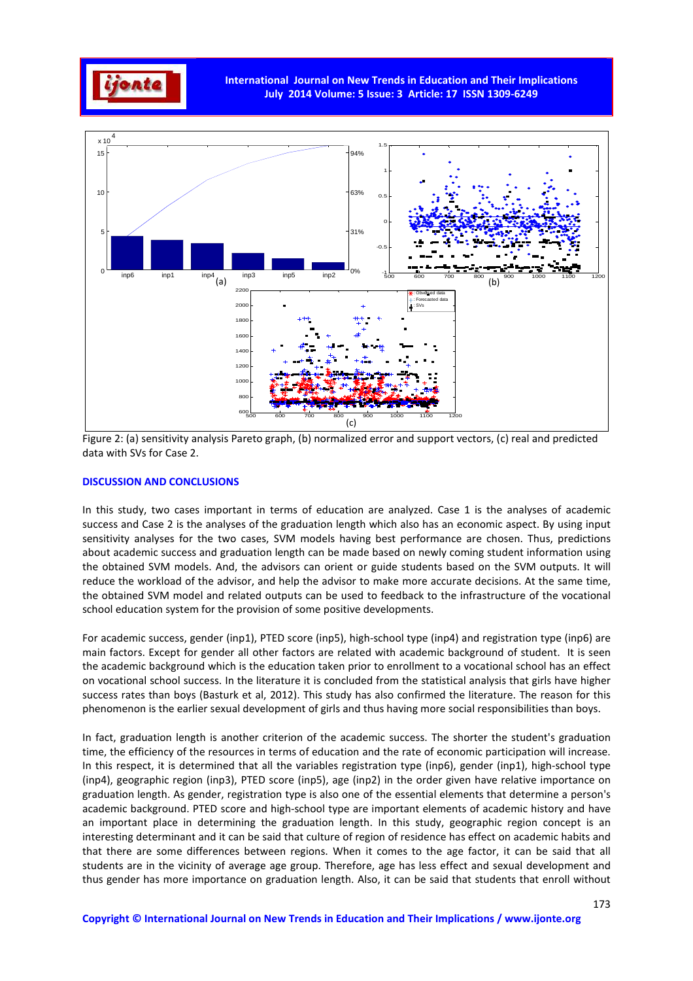



Figure 2: (a) sensitivity analysis Pareto graph, (b) normalized error and support vectors, (c) real and predicted data with SVs for Case 2.

#### **DISCUSSION AND CONCLUSIONS**

In this study, two cases important in terms of education are analyzed. Case 1 is the analyses of academic success and Case 2 is the analyses of the graduation length which also has an economic aspect. By using input sensitivity analyses for the two cases, SVM models having best performance are chosen. Thus, predictions about academic success and graduation length can be made based on newly coming student information using the obtained SVM models. And, the advisors can orient or guide students based on the SVM outputs. It will reduce the workload of the advisor, and help the advisor to make more accurate decisions. At the same time, the obtained SVM model and related outputs can be used to feedback to the infrastructure of the vocational school education system for the provision of some positive developments.

For academic success, gender (inp1), PTED score (inp5), high-school type (inp4) and registration type (inp6) are main factors. Except for gender all other factors are related with academic background of student. It is seen the academic background which is the education taken prior to enrollment to a vocational school has an effect on vocational school success. In the literature it is concluded from the statistical analysis that girls have higher success rates than boys (Basturk et al, 2012). This study has also confirmed the literature. The reason for this phenomenon is the earlier sexual development of girls and thus having more social responsibilities than boys.

In fact, graduation length is another criterion of the academic success. The shorter the student's graduation time, the efficiency of the resources in terms of education and the rate of economic participation will increase. In this respect, it is determined that all the variables registration type (inp6), gender (inp1), high-school type (inp4), geographic region (inp3), PTED score (inp5), age (inp2) in the order given have relative importance on graduation length. As gender, registration type is also one of the essential elements that determine a person's academic background. PTED score and high-school type are important elements of academic history and have an important place in determining the graduation length. In this study, geographic region concept is an interesting determinant and it can be said that culture of region of residence has effect on academic habits and that there are some differences between regions. When it comes to the age factor, it can be said that all students are in the vicinity of average age group. Therefore, age has less effect and sexual development and thus gender has more importance on graduation length. Also, it can be said that students that enroll without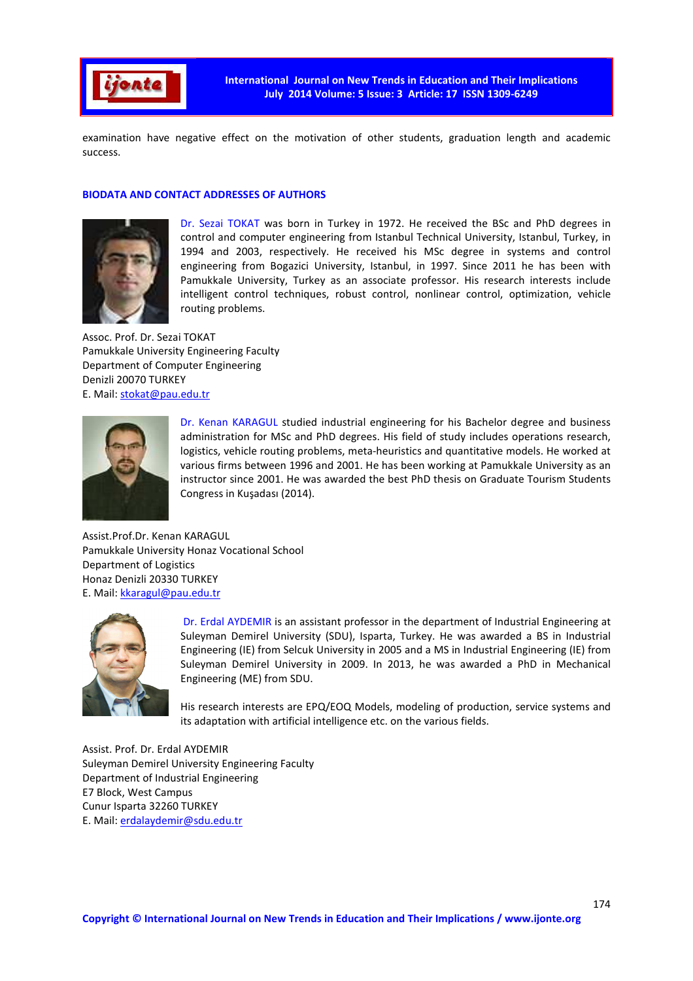

examination have negative effect on the motivation of other students, graduation length and academic success.

# **BIODATA AND CONTACT ADDRESSES OF AUTHORS**



Dr. Sezai TOKAT was born in Turkey in 1972. He received the BSc and PhD degrees in control and computer engineering from Istanbul Technical University, Istanbul, Turkey, in 1994 and 2003, respectively. He received his MSc degree in systems and control engineering from Bogazici University, Istanbul, in 1997. Since 2011 he has been with Pamukkale University, Turkey as an associate professor. His research interests include intelligent control techniques, robust control, nonlinear control, optimization, vehicle routing problems.

Assoc. Prof. Dr. Sezai TOKAT Pamukkale University Engineering Faculty Department of Computer Engineering Denizli 20070 TURKEY E. Mail: stokat@pau.edu.tr



Dr. Kenan KARAGUL studied industrial engineering for his Bachelor degree and business administration for MSc and PhD degrees. His field of study includes operations research, logistics, vehicle routing problems, meta-heuristics and quantitative models. He worked at various firms between 1996 and 2001. He has been working at Pamukkale University as an instructor since 2001. He was awarded the best PhD thesis on Graduate Tourism Students Congress in Kuşadası (2014).

Assist.Prof.Dr. Kenan KARAGUL Pamukkale University Honaz Vocational School Department of Logistics Honaz Denizli 20330 TURKEY E. Mail: kkaragul@pau.edu.tr



 Dr. Erdal AYDEMIR is an assistant professor in the department of Industrial Engineering at Suleyman Demirel University (SDU), Isparta, Turkey. He was awarded a BS in Industrial Engineering (IE) from Selcuk University in 2005 and a MS in Industrial Engineering (IE) from Suleyman Demirel University in 2009. In 2013, he was awarded a PhD in Mechanical Engineering (ME) from SDU.

His research interests are EPQ/EOQ Models, modeling of production, service systems and its adaptation with artificial intelligence etc. on the various fields.

Assist. Prof. Dr. Erdal AYDEMIR Suleyman Demirel University Engineering Faculty Department of Industrial Engineering E7 Block, West Campus Cunur Isparta 32260 TURKEY E. Mail: erdalaydemir@sdu.edu.tr